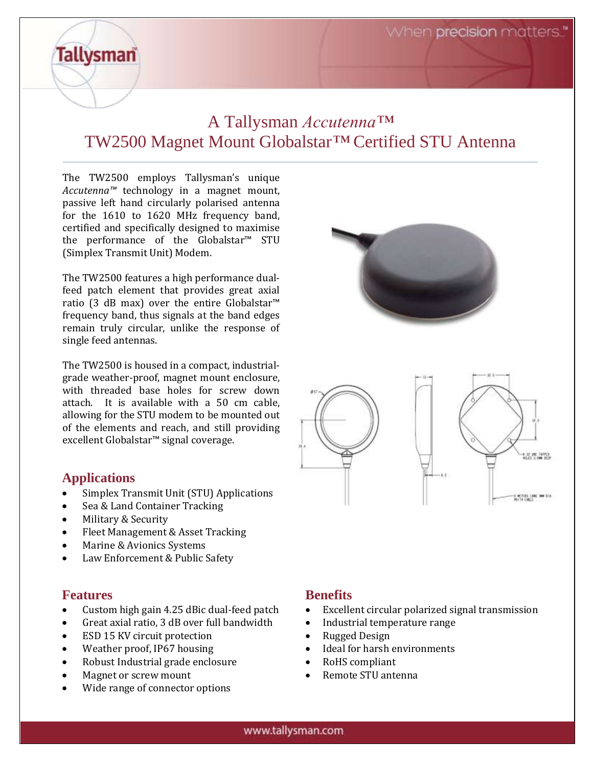When **precision** matters."

## A Tallysman *Accutenna™* TW2500 Magnet Mount Globalstar*™* Certified STU Antenna

The TW2500 employs Tallysman's unique *Accutenna™* technology in a magnet mount, passive left hand circularly polarised antenna for the 1610 to 1620 MHz frequency band, certified and specifically designed to maximise the performance of the Globalstar™ STU (Simplex Transmit Unit) Modem.

The TW2500 features a high performance dualfeed patch element that provides great axial ratio (3 dB max) over the entire Globalstar™ frequency band, thus signals at the band edges remain truly circular, unlike the response of single feed antennas.

The TW2500 is housed in a compact, industrialgrade weather-proof, magnet mount enclosure, with threaded base holes for screw down attach. It is available with a 50 cm cable, allowing for the STU modem to be mounted out of the elements and reach, and still providing excellent Globalstar™ signal coverage.

#### **Applications**

**Tallysman** 

- Simplex Transmit Unit (STU) Applications
- Sea & Land Container Tracking
- Military & Security
- Fleet Management & Asset Tracking
- Marine & Avionics Systems
- Law Enforcement & Public Safety

#### **Features**

- Custom high gain 4.25 dBic dual-feed patch
- Great axial ratio, 3 dB over full bandwidth
- ESD 15 KV circuit protection
- Weather proof, IP67 housing
- Robust Industrial grade enclosure
- Magnet or screw mount
- Wide range of connector options







#### **Benefits**

- Excellent circular polarized signal transmission
- Industrial temperature range
- Rugged Design
- Ideal for harsh environments
- RoHS compliant
- Remote STU antenna